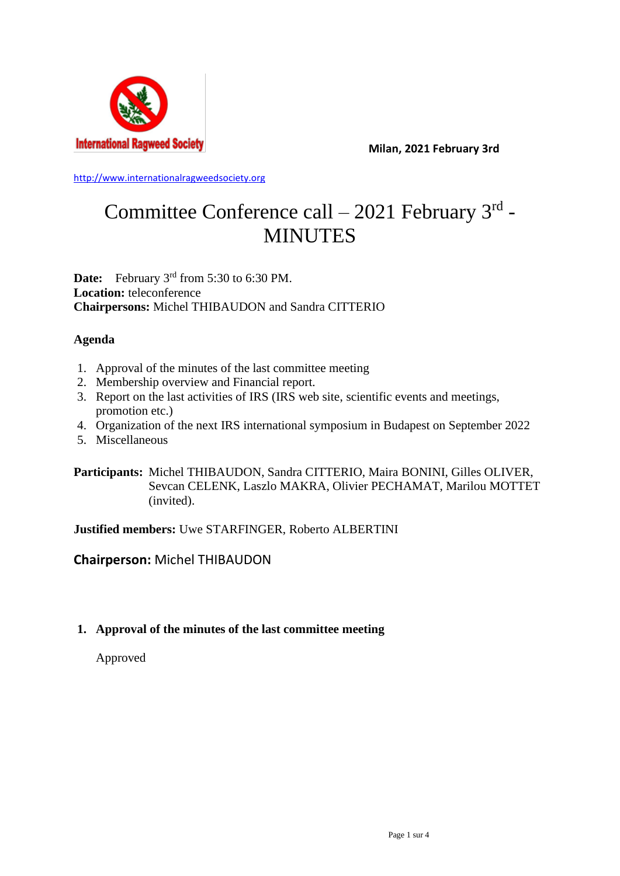

**Milan, 2021 February 3rd**

[http://www.internationalragweedsociety.org](http://www.internationalragweedsociety.org/)

# Committee Conference call – 2021 February 3rd -MINUTES

**Date:** February 3<sup>rd</sup> from 5:30 to 6:30 PM. **Location:** teleconference **Chairpersons:** Michel THIBAUDON and Sandra CITTERIO

## **Agenda**

- 1. Approval of the minutes of the last committee meeting
- 2. Membership overview and Financial report.
- 3. Report on the last activities of IRS (IRS web site, scientific events and meetings, promotion etc.)
- 4. Organization of the next IRS international symposium in Budapest on September 2022
- 5. Miscellaneous

**Participants:** Michel THIBAUDON, Sandra CITTERIO, Maira BONINI, Gilles OLIVER, Sevcan CELENK, Laszlo MAKRA, Olivier PECHAMAT, Marilou MOTTET (invited).

**Justified members:** Uwe STARFINGER, Roberto ALBERTINI

# **Chairperson:** Michel THIBAUDON

## **1. Approval of the minutes of the last committee meeting**

Approved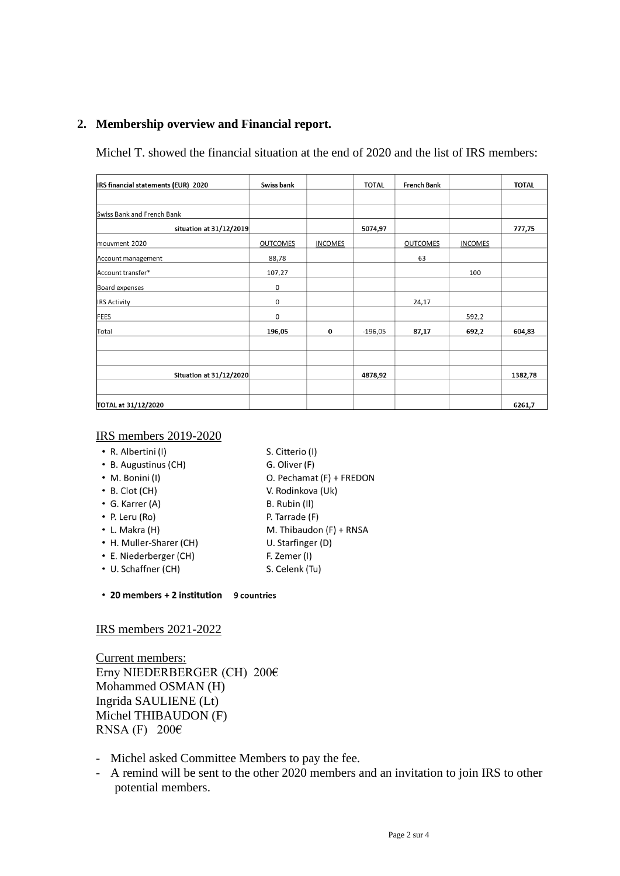## **2. Membership overview and Financial report.**

Michel T. showed the financial situation at the end of 2020 and the list of IRS members:

| IRS financial statements (EUR) 2020 | Swiss bank      |         | <b>TOTAL</b> | <b>French Bank</b> |         | <b>TOTAL</b> |
|-------------------------------------|-----------------|---------|--------------|--------------------|---------|--------------|
|                                     |                 |         |              |                    |         |              |
| Swiss Bank and French Bank          |                 |         |              |                    |         |              |
| situation at 31/12/2019             |                 | 5074,97 |              |                    | 777,75  |              |
| mouvment 2020                       | <b>OUTCOMES</b> | INCOMES |              | <b>OUTCOMES</b>    | INCOMES |              |
| Account management                  | 88,78           |         |              | 63                 |         |              |
| Account transfer*                   | 107,27          |         |              |                    | 100     |              |
| Board expenses                      | $\mathsf 0$     |         |              |                    |         |              |
| <b>IRS Activity</b>                 | 0               |         |              | 24,17              |         |              |
| <b>FEES</b>                         | $\mathbf 0$     |         |              |                    | 592,2   |              |
| Total                               | 196,05          | 0       | $-196,05$    | 87,17              | 692,2   | 604,83       |
|                                     |                 |         |              |                    |         |              |
|                                     |                 |         |              |                    |         |              |
| <b>Situation at 31/12/2020</b>      |                 |         | 4878,92      |                    |         | 1382,78      |
|                                     |                 |         |              |                    |         |              |
| TOTAL at 31/12/2020                 |                 |         |              |                    |         | 6261,7       |

#### IRS members 2019-2020

- R. Albertini (I)
- S. Citterio (I)
- B. Augustinus (CH)
- G. Oliver (F)
- M. Bonini (I) O. Pechamat (F) + FREDON
- $\cdot$  B. Clot (CH)
- $\bullet$  G. Karrer (A)
- B. Rubin (II)
- P. Leru (Ro) • L. Makra (H)
- P. Tarrade (F) M. Thibaudon (F) + RNSA
- U. Starfinger (D)

V. Rodinkova (Uk)

- F. Zemer (I)
- E. Niederberger (CH) • U. Schaffner (CH)

• H. Muller-Sharer (CH)

- S. Celenk (Tu)
- 20 members + 2 institution 9 countries

#### IRS members 2021-2022

Current members: Erny NIEDERBERGER (CH) 200€ Mohammed OSMAN (H) Ingrida SAULIENE (Lt) Michel THIBAUDON (F) RNSA (F) 200 $\epsilon$ 

- Michel asked Committee Members to pay the fee.
- A remind will be sent to the other 2020 members and an invitation to join IRS to other potential members.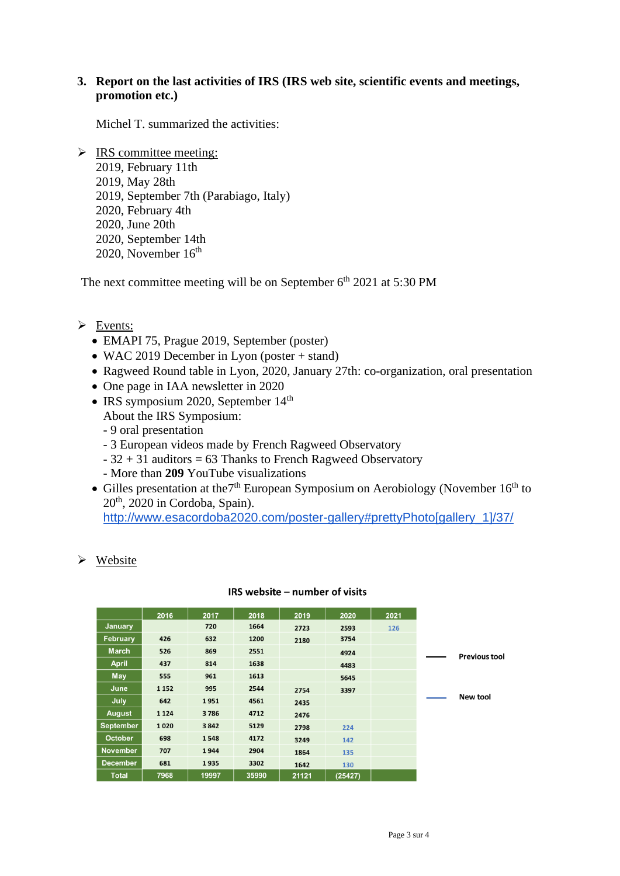## **3. Report on the last activities of IRS (IRS web site, scientific events and meetings, promotion etc.)**

Michel T. summarized the activities:

 $\triangleright$  IRS committee meeting: 2019, February 11th 2019, May 28th 2019, September 7th (Parabiago, Italy) 2020, February 4th 2020, June 20th 2020, September 14th 2020, November  $16<sup>th</sup>$ 

The next committee meeting will be on September  $6<sup>th</sup> 2021$  at 5:30 PM

### ➢ Events:

- EMAPI 75, Prague 2019, September (poster)
- WAC 2019 December in Lyon (poster + stand)
- Ragweed Round table in Lyon, 2020, January 27th: co-organization, oral presentation
- One page in IAA newsletter in 2020
- IRS symposium 2020, September 14<sup>th</sup>
	- About the IRS Symposium:
	- 9 oral presentation
	- 3 European videos made by French Ragweed Observatory
	- $-32 + 31$  auditors = 63 Thanks to French Ragweed Observatory
	- More than **209** YouTube visualizations
- Gilles presentation at the  $7<sup>th</sup>$  European Symposium on Aerobiology (November 16<sup>th</sup> to 20th, 2020 in Cordoba, Spain).

[http://www.esacordoba2020.com/poster-gallery#prettyPhoto\[gallery\\_1\]/37/](http://www.esacordoba2020.com/poster-gallery#prettyPhoto[gallery_1]/37/)

 $\triangleright$  Website

|                  | 2016    | 2017  | 2018  | 2019  | 2020    | 2021 |                      |
|------------------|---------|-------|-------|-------|---------|------|----------------------|
| <b>January</b>   |         | 720   | 1664  | 2723  | 2593    | 126  |                      |
| <b>February</b>  | 426     | 632   | 1200  | 2180  | 3754    |      |                      |
| <b>March</b>     | 526     | 869   | 2551  |       | 4924    |      | <b>Previous tool</b> |
| <b>April</b>     | 437     | 814   | 1638  |       | 4483    |      |                      |
| May              | 555     | 961   | 1613  |       | 5645    |      |                      |
| June             | 1 1 5 2 | 995   | 2544  | 2754  | 3397    |      |                      |
| July             | 642     | 1951  | 4561  | 2435  |         |      | New tool             |
| <b>August</b>    | 1 1 2 4 | 3786  | 4712  | 2476  |         |      |                      |
| <b>September</b> | 1020    | 3842  | 5129  | 2798  | 224     |      |                      |
| <b>October</b>   | 698     | 1548  | 4172  | 3249  | 142     |      |                      |
| <b>November</b>  | 707     | 1944  | 2904  | 1864  | 135     |      |                      |
| <b>December</b>  | 681     | 1935  | 3302  | 1642  | 130     |      |                      |
| <b>Total</b>     | 7968    | 19997 | 35990 | 21121 | (25427) |      |                      |

#### IRS website - number of visits